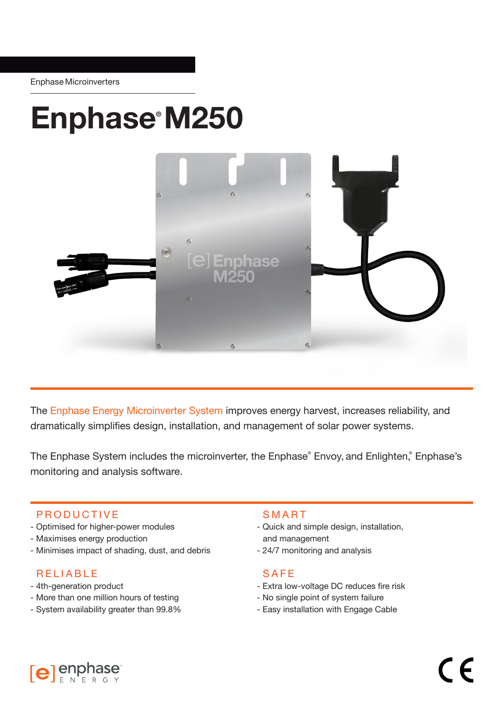# Enphase® M250



The Enphase Energy Microinverter System improves energy harvest, increases reliability, and dramatically simplifies design, installation, and management of solar power systems.

The Enphase System includes the microinverter, the Enphase® Envoy, and Enlighten,® Enphase's monitoring and analysis software.

## PRODUCTIVE

- Optimised for higher-power modules
- Maximises energy production
- Minimises impact of shading, dust, and debris

## RELIABLE

- 4th-generation product
- More than one million hours of testing
- System availability greater than 99.8%

#### SMART

- Quick and simple design, installation, and management
- 24/7 monitoring and analysis

#### SAFE

- Extra low-voltage DC reduces fire risk
- No single point of system failure
- Easy installation with Engage Cable